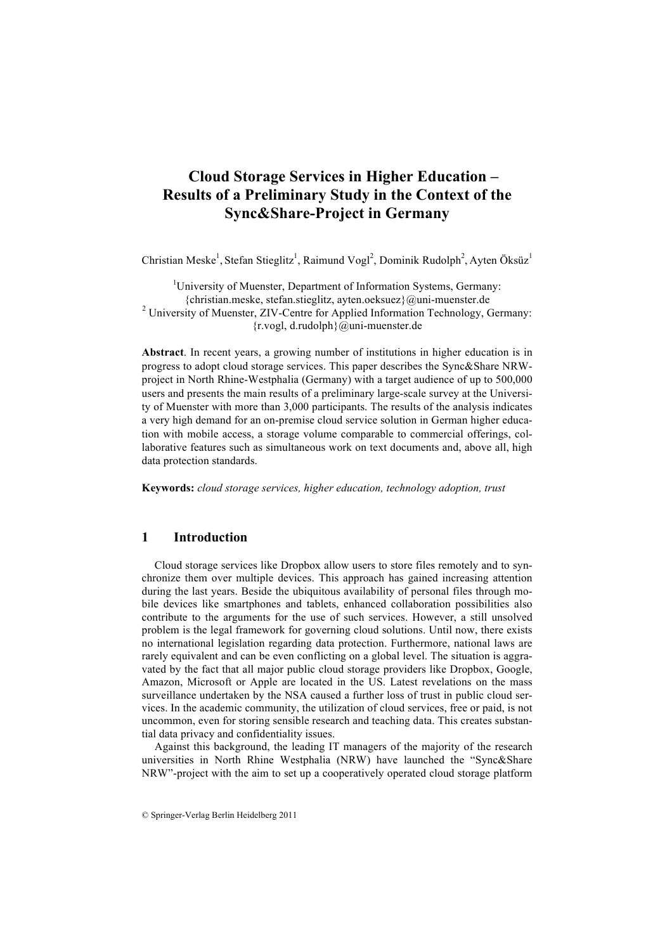# **Cloud Storage Services in Higher Education – Results of a Preliminary Study in the Context of the Sync&Share-Project in Germany**

Christian Meske<sup>1</sup>, Stefan Stieglitz<sup>1</sup>, Raimund Vogl<sup>2</sup>, Dominik Rudolph<sup>2</sup>, Ayten Öksüz<sup>1</sup>

<sup>1</sup>University of Muenster, Department of Information Systems, Germany: {christian.meske, stefan.stieglitz, ayten.oeksuez}@uni-muenster.de <sup>2</sup> University of Muenster, ZIV-Centre for Applied Information Technology, Germany: {r.vogl, d.rudolph}@uni-muenster.de

**Abstract**. In recent years, a growing number of institutions in higher education is in progress to adopt cloud storage services. This paper describes the Sync&Share NRWproject in North Rhine-Westphalia (Germany) with a target audience of up to 500,000 users and presents the main results of a preliminary large-scale survey at the University of Muenster with more than 3,000 participants. The results of the analysis indicates a very high demand for an on-premise cloud service solution in German higher education with mobile access, a storage volume comparable to commercial offerings, collaborative features such as simultaneous work on text documents and, above all, high data protection standards.

**Keywords:** *cloud storage services, higher education, technology adoption, trust*

# **1 Introduction**

Cloud storage services like Dropbox allow users to store files remotely and to synchronize them over multiple devices. This approach has gained increasing attention during the last years. Beside the ubiquitous availability of personal files through mobile devices like smartphones and tablets, enhanced collaboration possibilities also contribute to the arguments for the use of such services. However, a still unsolved problem is the legal framework for governing cloud solutions. Until now, there exists no international legislation regarding data protection. Furthermore, national laws are rarely equivalent and can be even conflicting on a global level. The situation is aggravated by the fact that all major public cloud storage providers like Dropbox, Google, Amazon, Microsoft or Apple are located in the US. Latest revelations on the mass surveillance undertaken by the NSA caused a further loss of trust in public cloud services. In the academic community, the utilization of cloud services, free or paid, is not uncommon, even for storing sensible research and teaching data. This creates substantial data privacy and confidentiality issues.

Against this background, the leading IT managers of the majority of the research universities in North Rhine Westphalia (NRW) have launched the "Sync&Share NRW"-project with the aim to set up a cooperatively operated cloud storage platform

<sup>©</sup> Springer-Verlag Berlin Heidelberg 2011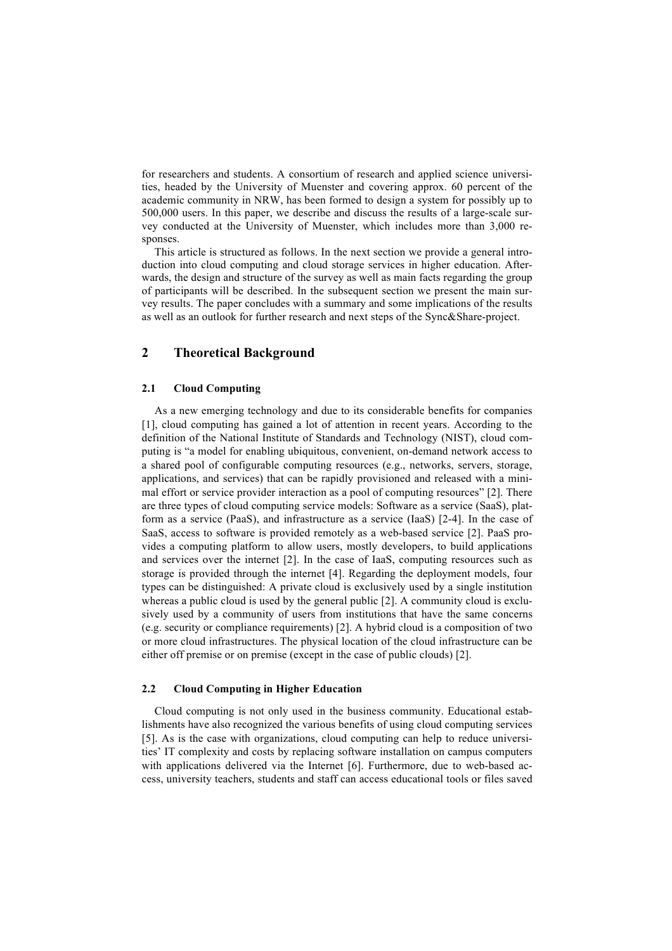for researchers and students. A consortium of research and applied science universities, headed by the University of Muenster and covering approx. 60 percent of the academic community in NRW, has been formed to design a system for possibly up to 500,000 users. In this paper, we describe and discuss the results of a large-scale survey conducted at the University of Muenster, which includes more than 3,000 responses.

This article is structured as follows. In the next section we provide a general introduction into cloud computing and cloud storage services in higher education. Afterwards, the design and structure of the survey as well as main facts regarding the group of participants will be described. In the subsequent section we present the main survey results. The paper concludes with a summary and some implications of the results as well as an outlook for further research and next steps of the Sync&Share-project.

# **2 Theoretical Background**

## **2.1 Cloud Computing**

As a new emerging technology and due to its considerable benefits for companies [1], cloud computing has gained a lot of attention in recent years. According to the definition of the National Institute of Standards and Technology (NIST), cloud computing is "a model for enabling ubiquitous, convenient, on-demand network access to a shared pool of configurable computing resources (e.g., networks, servers, storage, applications, and services) that can be rapidly provisioned and released with a minimal effort or service provider interaction as a pool of computing resources" [2]. There are three types of cloud computing service models: Software as a service (SaaS), platform as a service (PaaS), and infrastructure as a service (IaaS) [2-4]. In the case of SaaS, access to software is provided remotely as a web-based service [2]. PaaS provides a computing platform to allow users, mostly developers, to build applications and services over the internet [2]. In the case of IaaS, computing resources such as storage is provided through the internet [4]. Regarding the deployment models, four types can be distinguished: A private cloud is exclusively used by a single institution whereas a public cloud is used by the general public [2]. A community cloud is exclusively used by a community of users from institutions that have the same concerns (e.g. security or compliance requirements) [2]. A hybrid cloud is a composition of two or more cloud infrastructures. The physical location of the cloud infrastructure can be either off premise or on premise (except in the case of public clouds) [2].

#### **2.2 Cloud Computing in Higher Education**

Cloud computing is not only used in the business community. Educational establishments have also recognized the various benefits of using cloud computing services [5]. As is the case with organizations, cloud computing can help to reduce universities' IT complexity and costs by replacing software installation on campus computers with applications delivered via the Internet [6]. Furthermore, due to web-based access, university teachers, students and staff can access educational tools or files saved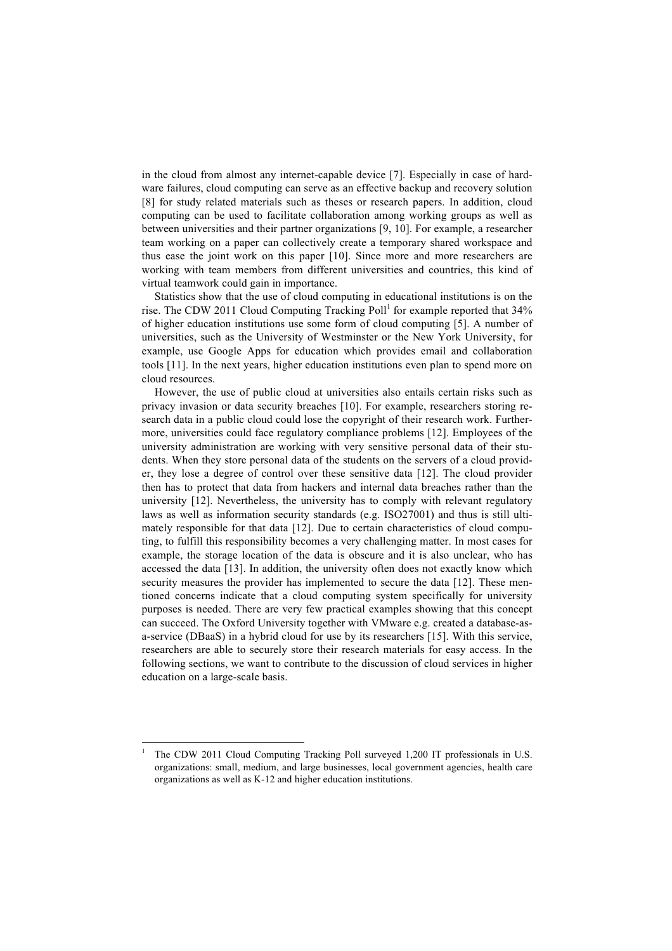in the cloud from almost any internet-capable device [7]. Especially in case of hardware failures, cloud computing can serve as an effective backup and recovery solution [8] for study related materials such as theses or research papers. In addition, cloud computing can be used to facilitate collaboration among working groups as well as between universities and their partner organizations [9, 10]. For example, a researcher team working on a paper can collectively create a temporary shared workspace and thus ease the joint work on this paper [10]. Since more and more researchers are working with team members from different universities and countries, this kind of virtual teamwork could gain in importance.

Statistics show that the use of cloud computing in educational institutions is on the rise. The CDW 2011 Cloud Computing Tracking Poll<sup>1</sup> for example reported that 34% of higher education institutions use some form of cloud computing [5]. A number of universities, such as the University of Westminster or the New York University, for example, use Google Apps for education which provides email and collaboration tools [11]. In the next years, higher education institutions even plan to spend more on cloud resources.

However, the use of public cloud at universities also entails certain risks such as privacy invasion or data security breaches [10]. For example, researchers storing research data in a public cloud could lose the copyright of their research work. Furthermore, universities could face regulatory compliance problems [12]. Employees of the university administration are working with very sensitive personal data of their students. When they store personal data of the students on the servers of a cloud provider, they lose a degree of control over these sensitive data [12]. The cloud provider then has to protect that data from hackers and internal data breaches rather than the university [12]. Nevertheless, the university has to comply with relevant regulatory laws as well as information security standards (e.g. ISO27001) and thus is still ultimately responsible for that data [12]. Due to certain characteristics of cloud computing, to fulfill this responsibility becomes a very challenging matter. In most cases for example, the storage location of the data is obscure and it is also unclear, who has accessed the data [13]. In addition, the university often does not exactly know which security measures the provider has implemented to secure the data [12]. These mentioned concerns indicate that a cloud computing system specifically for university purposes is needed. There are very few practical examples showing that this concept can succeed. The Oxford University together with VMware e.g. created a database-asa-service (DBaaS) in a hybrid cloud for use by its researchers [15]. With this service, researchers are able to securely store their research materials for easy access. In the following sections, we want to contribute to the discussion of cloud services in higher education on a large-scale basis.

 <sup>1</sup> The CDW 2011 Cloud Computing Tracking Poll surveyed 1,200 IT professionals in U.S. organizations: small, medium, and large businesses, local government agencies, health care organizations as well as K-12 and higher education institutions.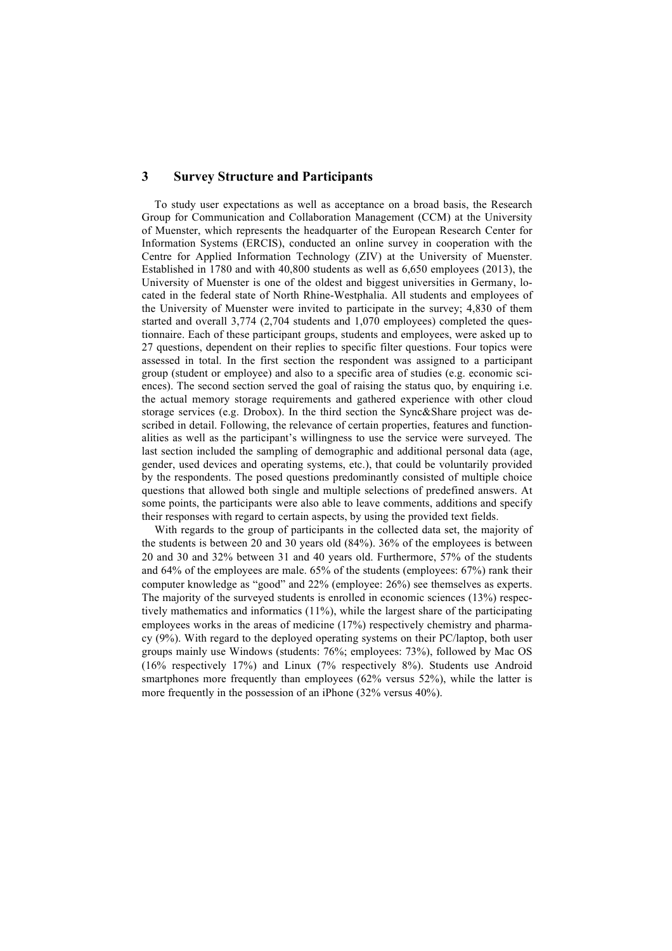## **3 Survey Structure and Participants**

To study user expectations as well as acceptance on a broad basis, the Research Group for Communication and Collaboration Management (CCM) at the University of Muenster, which represents the headquarter of the European Research Center for Information Systems (ERCIS), conducted an online survey in cooperation with the Centre for Applied Information Technology (ZIV) at the University of Muenster. Established in 1780 and with 40,800 students as well as 6,650 employees (2013), the University of Muenster is one of the oldest and biggest universities in Germany, located in the federal state of North Rhine-Westphalia. All students and employees of the University of Muenster were invited to participate in the survey; 4,830 of them started and overall 3,774 (2,704 students and 1,070 employees) completed the questionnaire. Each of these participant groups, students and employees, were asked up to 27 questions, dependent on their replies to specific filter questions. Four topics were assessed in total. In the first section the respondent was assigned to a participant group (student or employee) and also to a specific area of studies (e.g. economic sciences). The second section served the goal of raising the status quo, by enquiring i.e. the actual memory storage requirements and gathered experience with other cloud storage services (e.g. Drobox). In the third section the Sync&Share project was described in detail. Following, the relevance of certain properties, features and functionalities as well as the participant's willingness to use the service were surveyed. The last section included the sampling of demographic and additional personal data (age, gender, used devices and operating systems, etc.), that could be voluntarily provided by the respondents. The posed questions predominantly consisted of multiple choice questions that allowed both single and multiple selections of predefined answers. At some points, the participants were also able to leave comments, additions and specify their responses with regard to certain aspects, by using the provided text fields.

With regards to the group of participants in the collected data set, the majority of the students is between 20 and 30 years old (84%). 36% of the employees is between 20 and 30 and 32% between 31 and 40 years old. Furthermore, 57% of the students and 64% of the employees are male. 65% of the students (employees: 67%) rank their computer knowledge as "good" and 22% (employee: 26%) see themselves as experts. The majority of the surveyed students is enrolled in economic sciences (13%) respectively mathematics and informatics (11%), while the largest share of the participating employees works in the areas of medicine (17%) respectively chemistry and pharmacy (9%). With regard to the deployed operating systems on their PC/laptop, both user groups mainly use Windows (students: 76%; employees: 73%), followed by Mac OS (16% respectively 17%) and Linux (7% respectively 8%). Students use Android smartphones more frequently than employees (62% versus 52%), while the latter is more frequently in the possession of an iPhone (32% versus 40%).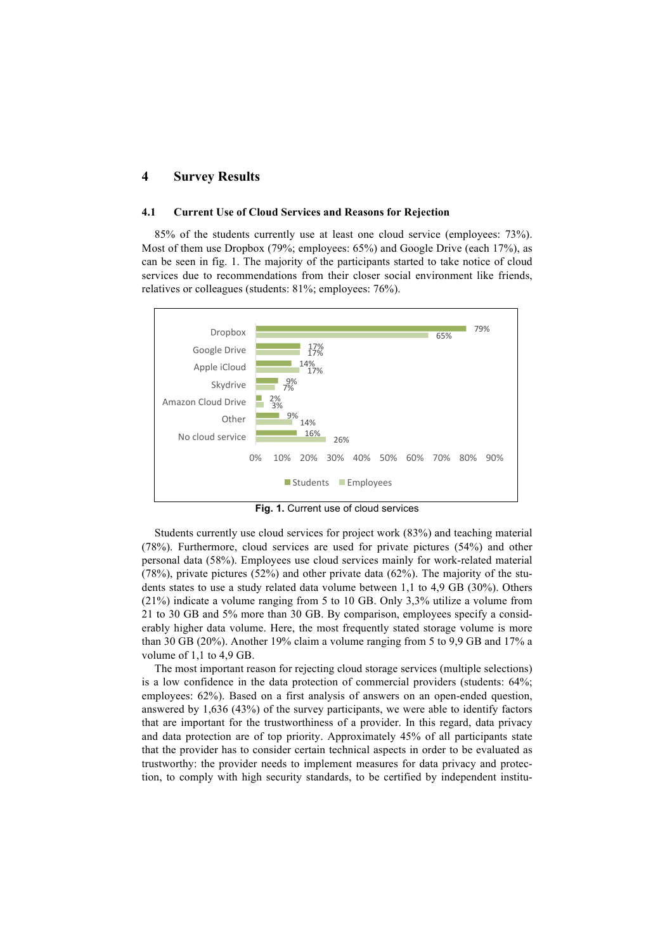## **4 Survey Results**

#### **4.1 Current Use of Cloud Services and Reasons for Rejection**

85% of the students currently use at least one cloud service (employees: 73%). Most of them use Dropbox (79%; employees: 65%) and Google Drive (each 17%), as can be seen in fig. 1. The majority of the participants started to take notice of cloud services due to recommendations from their closer social environment like friends, relatives or colleagues (students: 81%; employees: 76%).



**Fig. 1.** Current use of cloud services

Students currently use cloud services for project work (83%) and teaching material (78%). Furthermore, cloud services are used for private pictures (54%) and other personal data (58%). Employees use cloud services mainly for work-related material (78%), private pictures (52%) and other private data (62%). The majority of the students states to use a study related data volume between 1,1 to 4,9 GB (30%). Others (21%) indicate a volume ranging from 5 to 10 GB. Only 3,3% utilize a volume from 21 to 30 GB and 5% more than 30 GB. By comparison, employees specify a considerably higher data volume. Here, the most frequently stated storage volume is more than 30 GB (20%). Another 19% claim a volume ranging from 5 to 9,9 GB and 17% a volume of 1,1 to 4,9 GB.

The most important reason for rejecting cloud storage services (multiple selections) is a low confidence in the data protection of commercial providers (students: 64%; employees: 62%). Based on a first analysis of answers on an open-ended question, answered by 1,636 (43%) of the survey participants, we were able to identify factors that are important for the trustworthiness of a provider. In this regard, data privacy and data protection are of top priority. Approximately 45% of all participants state that the provider has to consider certain technical aspects in order to be evaluated as trustworthy: the provider needs to implement measures for data privacy and protection, to comply with high security standards, to be certified by independent institu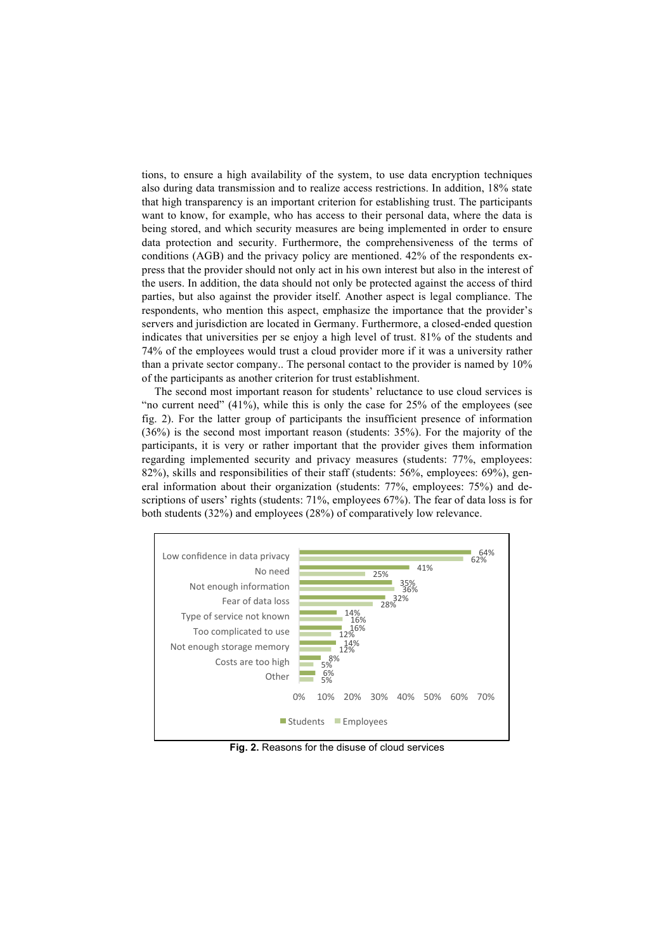tions, to ensure a high availability of the system, to use data encryption techniques also during data transmission and to realize access restrictions. In addition, 18% state that high transparency is an important criterion for establishing trust. The participants want to know, for example, who has access to their personal data, where the data is being stored, and which security measures are being implemented in order to ensure data protection and security. Furthermore, the comprehensiveness of the terms of conditions (AGB) and the privacy policy are mentioned. 42% of the respondents express that the provider should not only act in his own interest but also in the interest of the users. In addition, the data should not only be protected against the access of third parties, but also against the provider itself. Another aspect is legal compliance. The respondents, who mention this aspect, emphasize the importance that the provider's servers and jurisdiction are located in Germany. Furthermore, a closed-ended question indicates that universities per se enjoy a high level of trust. 81% of the students and 74% of the employees would trust a cloud provider more if it was a university rather than a private sector company.. The personal contact to the provider is named by 10% of the participants as another criterion for trust establishment.

The second most important reason for students' reluctance to use cloud services is "no current need" (41%), while this is only the case for 25% of the employees (see fig. 2). For the latter group of participants the insufficient presence of information (36%) is the second most important reason (students: 35%). For the majority of the participants, it is very or rather important that the provider gives them information regarding implemented security and privacy measures (students: 77%, employees: 82%), skills and responsibilities of their staff (students: 56%, employees: 69%), general information about their organization (students: 77%, employees: 75%) and descriptions of users' rights (students: 71%, employees 67%). The fear of data loss is for both students (32%) and employees (28%) of comparatively low relevance.



**Fig. 2.** Reasons for the disuse of cloud services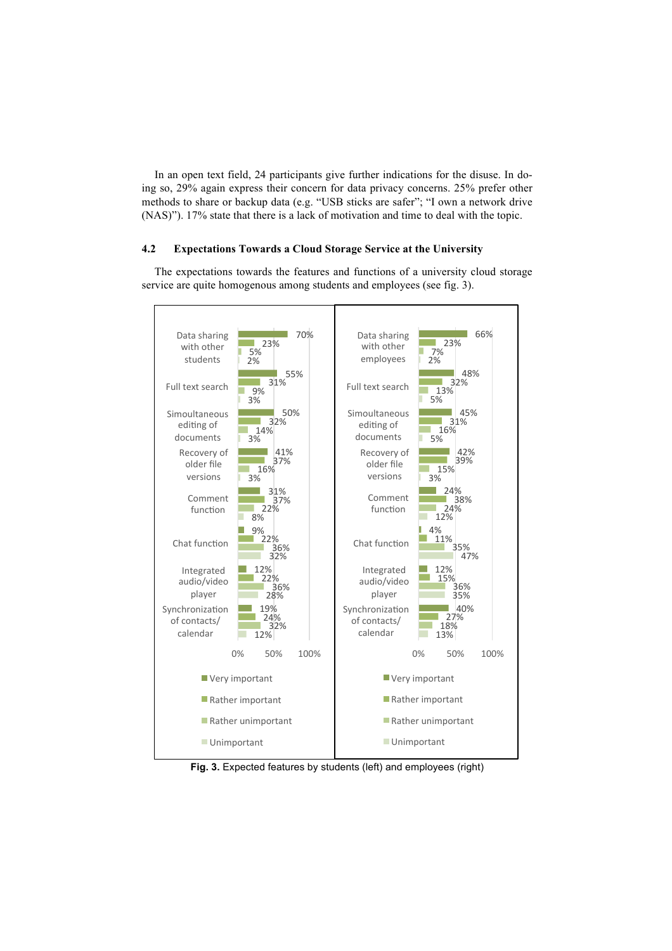In an open text field, 24 participants give further indications for the disuse. In doing so, 29% again express their concern for data privacy concerns. 25% prefer other methods to share or backup data (e.g. "USB sticks are safer"; "I own a network drive (NAS)"). 17% state that there is a lack of motivation and time to deal with the topic.

#### **4.2 Expectations Towards a Cloud Storage Service at the University**

The expectations towards the features and functions of a university cloud storage service are quite homogenous among students and employees (see fig. 3).



**Fig. 3.** Expected features by students (left) and employees (right)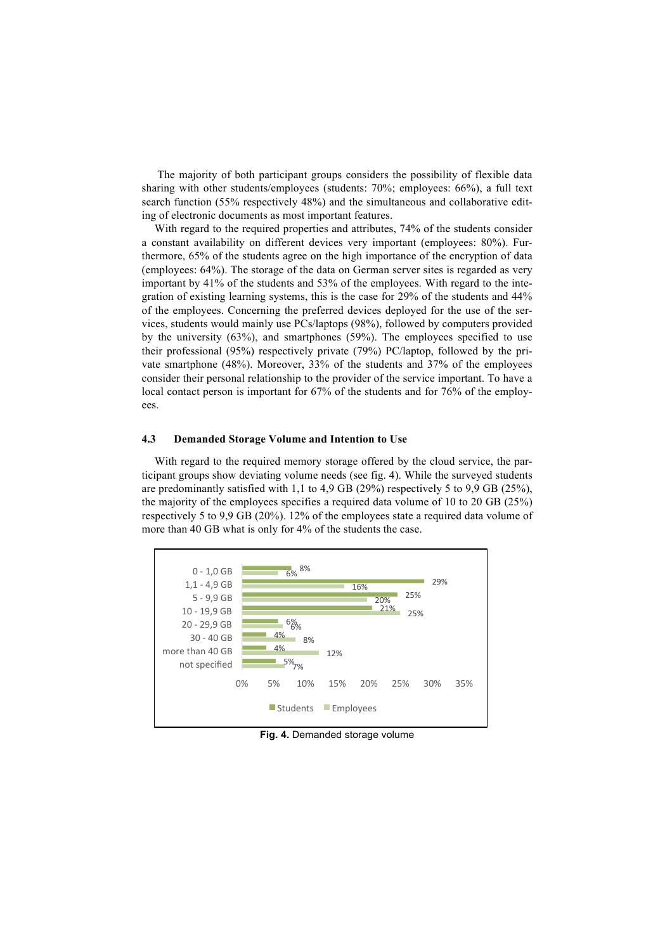The majority of both participant groups considers the possibility of flexible data sharing with other students/employees (students: 70%; employees: 66%), a full text search function (55% respectively 48%) and the simultaneous and collaborative editing of electronic documents as most important features.

With regard to the required properties and attributes, 74% of the students consider a constant availability on different devices very important (employees: 80%). Furthermore, 65% of the students agree on the high importance of the encryption of data (employees: 64%). The storage of the data on German server sites is regarded as very important by 41% of the students and 53% of the employees. With regard to the integration of existing learning systems, this is the case for 29% of the students and 44% of the employees. Concerning the preferred devices deployed for the use of the services, students would mainly use PCs/laptops (98%), followed by computers provided by the university (63%), and smartphones (59%). The employees specified to use their professional (95%) respectively private (79%) PC/laptop, followed by the private smartphone (48%). Moreover, 33% of the students and 37% of the employees consider their personal relationship to the provider of the service important. To have a local contact person is important for 67% of the students and for 76% of the employees.

#### **4.3 Demanded Storage Volume and Intention to Use**

With regard to the required memory storage offered by the cloud service, the participant groups show deviating volume needs (see fig. 4). While the surveyed students are predominantly satisfied with 1,1 to 4,9 GB (29%) respectively 5 to 9,9 GB (25%), the majority of the employees specifies a required data volume of 10 to 20 GB (25%) respectively 5 to 9,9 GB (20%). 12% of the employees state a required data volume of more than 40 GB what is only for 4% of the students the case.



**Fig. 4.** Demanded storage volume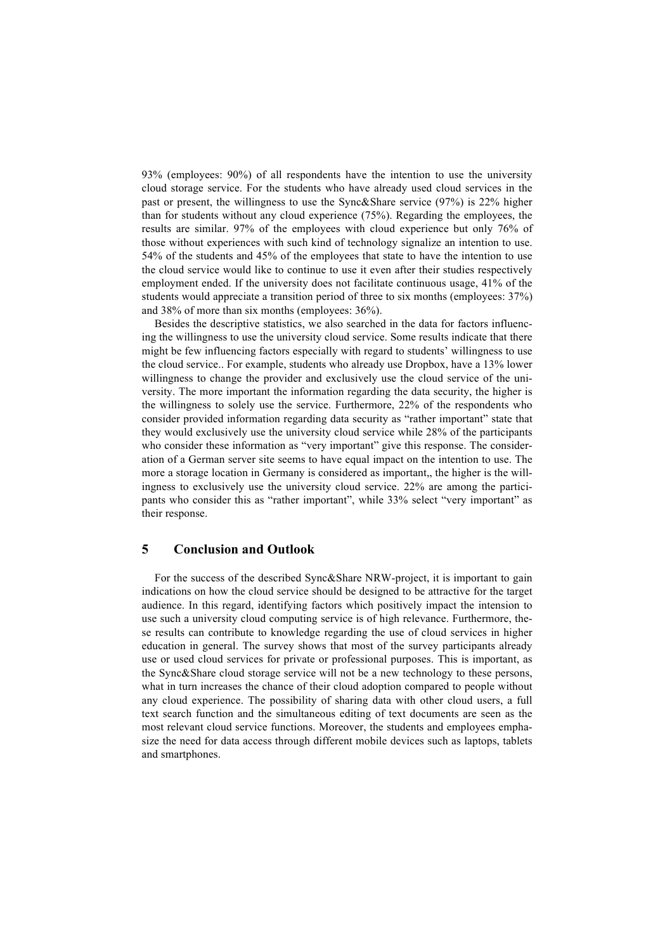93% (employees: 90%) of all respondents have the intention to use the university cloud storage service. For the students who have already used cloud services in the past or present, the willingness to use the Sync&Share service (97%) is 22% higher than for students without any cloud experience (75%). Regarding the employees, the results are similar. 97% of the employees with cloud experience but only 76% of those without experiences with such kind of technology signalize an intention to use. 54% of the students and 45% of the employees that state to have the intention to use the cloud service would like to continue to use it even after their studies respectively employment ended. If the university does not facilitate continuous usage, 41% of the students would appreciate a transition period of three to six months (employees: 37%) and 38% of more than six months (employees: 36%).

Besides the descriptive statistics, we also searched in the data for factors influencing the willingness to use the university cloud service. Some results indicate that there might be few influencing factors especially with regard to students' willingness to use the cloud service.. For example, students who already use Dropbox, have a 13% lower willingness to change the provider and exclusively use the cloud service of the university. The more important the information regarding the data security, the higher is the willingness to solely use the service. Furthermore, 22% of the respondents who consider provided information regarding data security as "rather important" state that they would exclusively use the university cloud service while 28% of the participants who consider these information as "very important" give this response. The consideration of a German server site seems to have equal impact on the intention to use. The more a storage location in Germany is considered as important,, the higher is the willingness to exclusively use the university cloud service. 22% are among the participants who consider this as "rather important", while 33% select "very important" as their response.

## **5 Conclusion and Outlook**

For the success of the described Sync&Share NRW-project, it is important to gain indications on how the cloud service should be designed to be attractive for the target audience. In this regard, identifying factors which positively impact the intension to use such a university cloud computing service is of high relevance. Furthermore, these results can contribute to knowledge regarding the use of cloud services in higher education in general. The survey shows that most of the survey participants already use or used cloud services for private or professional purposes. This is important, as the Sync&Share cloud storage service will not be a new technology to these persons, what in turn increases the chance of their cloud adoption compared to people without any cloud experience. The possibility of sharing data with other cloud users, a full text search function and the simultaneous editing of text documents are seen as the most relevant cloud service functions. Moreover, the students and employees emphasize the need for data access through different mobile devices such as laptops, tablets and smartphones.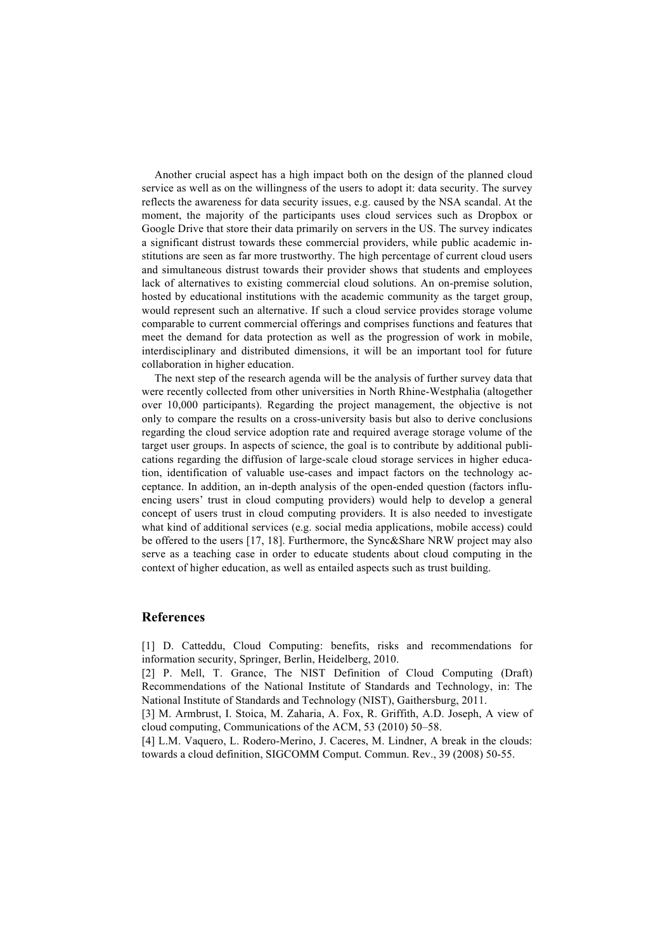Another crucial aspect has a high impact both on the design of the planned cloud service as well as on the willingness of the users to adopt it: data security. The survey reflects the awareness for data security issues, e.g. caused by the NSA scandal. At the moment, the majority of the participants uses cloud services such as Dropbox or Google Drive that store their data primarily on servers in the US. The survey indicates a significant distrust towards these commercial providers, while public academic institutions are seen as far more trustworthy. The high percentage of current cloud users and simultaneous distrust towards their provider shows that students and employees lack of alternatives to existing commercial cloud solutions. An on-premise solution, hosted by educational institutions with the academic community as the target group, would represent such an alternative. If such a cloud service provides storage volume comparable to current commercial offerings and comprises functions and features that meet the demand for data protection as well as the progression of work in mobile, interdisciplinary and distributed dimensions, it will be an important tool for future collaboration in higher education.

The next step of the research agenda will be the analysis of further survey data that were recently collected from other universities in North Rhine-Westphalia (altogether over 10,000 participants). Regarding the project management, the objective is not only to compare the results on a cross-university basis but also to derive conclusions regarding the cloud service adoption rate and required average storage volume of the target user groups. In aspects of science, the goal is to contribute by additional publications regarding the diffusion of large-scale cloud storage services in higher education, identification of valuable use-cases and impact factors on the technology acceptance. In addition, an in-depth analysis of the open-ended question (factors influencing users' trust in cloud computing providers) would help to develop a general concept of users trust in cloud computing providers. It is also needed to investigate what kind of additional services (e.g. social media applications, mobile access) could be offered to the users [17, 18]. Furthermore, the Sync&Share NRW project may also serve as a teaching case in order to educate students about cloud computing in the context of higher education, as well as entailed aspects such as trust building.

## **References**

[1] D. Catteddu, Cloud Computing: benefits, risks and recommendations for information security, Springer, Berlin, Heidelberg, 2010.

[2] P. Mell, T. Grance, The NIST Definition of Cloud Computing (Draft) Recommendations of the National Institute of Standards and Technology, in: The National Institute of Standards and Technology (NIST), Gaithersburg, 2011.

[3] M. Armbrust, I. Stoica, M. Zaharia, A. Fox, R. Griffith, A.D. Joseph, A view of cloud computing, Communications of the ACM, 53 (2010) 50–58.

[4] L.M. Vaquero, L. Rodero-Merino, J. Caceres, M. Lindner, A break in the clouds: towards a cloud definition, SIGCOMM Comput. Commun. Rev., 39 (2008) 50-55.